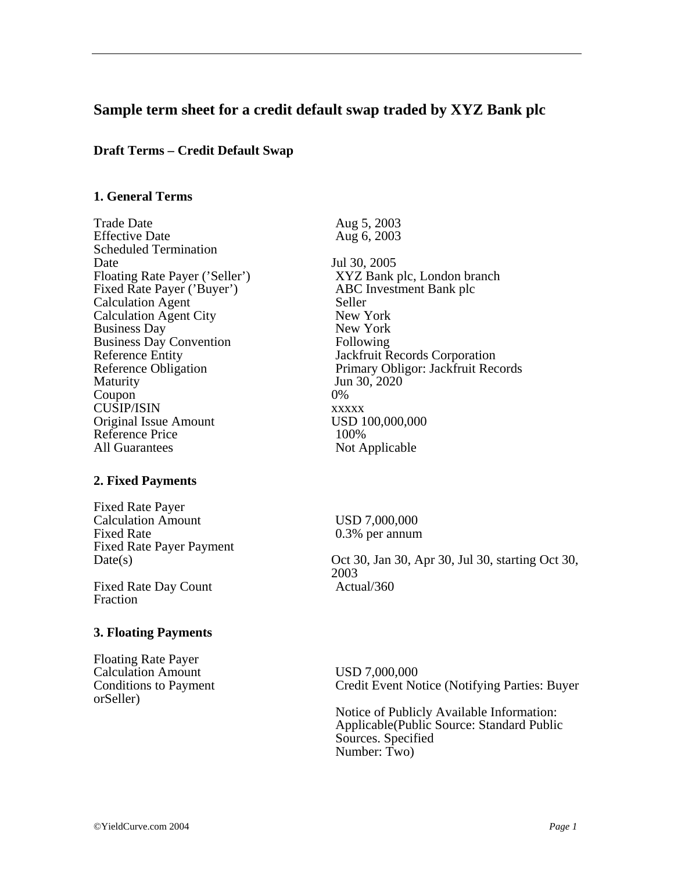# **Sample term sheet for a credit default swap traded by XYZ Bank plc**

## **Draft Terms – Credit Default Swap**

### **1. General Terms**

Trade Date <br>
Effective Date <br>
Aug 6, 2003<br>
Aug 6, 2003 Scheduled Termination Date Jul 30, 2005 Fixed Rate Payer ('Buyer') Calculation Agent Seller<br>
Calculation Agent City<br>
New York Calculation Agent City<br>Business Dav New York<br>New York Business Day Business Day Convention Following Maturity Jun 30, 2020 Coupon 0% CUSIP/ISIN xxxxx Original Issue Amount USD 100,000,000 Reference Price 100%<br>All Guarantees Not A

#### **2. Fixed Payments**

Fixed Rate Payer Calculation Amount<br>
Fixed Rate 0.3% per annum<br>
O.3% per annum Fixed Rate Payer Payment

Fixed Rate Day Count Fraction

#### **3. Floating Payments**

Floating Rate Payer Calculation Amount<br>
Conditions to Payment<br>
Credit Event No orSeller)

Aug  $6, 2003$ 

Floating Rate Payer ('Seller') XYZ Bank plc, London branch<br>Fixed Rate Payer ('Buyer') ABC Investment Bank plc Reference Entity<br>
Reference Obligation<br>
Reference Obligation<br>
Primary Obligor: Jackfruit Records Primary Obligor: Jackfruit Records Not Applicable

 $0.3\%$  per annum

Date(s) Oct 30, Jan 30, Apr 30, Jul 30, starting Oct 30, 2003<br>Actual/360

Credit Event Notice (Notifying Parties: Buyer

Notice of Publicly Available Information: Applicable(Public Source: Standard Public Sources. Specified Number: Two)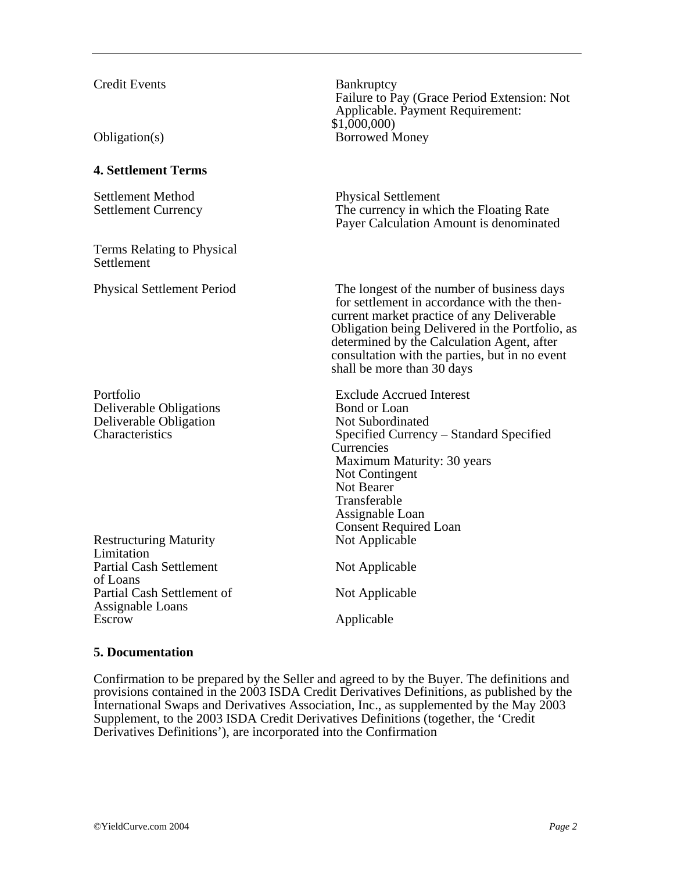## Credit Events Bankruptcy

## **4. Settlement Terms**

Settlement Method Physical Settlement

Terms Relating to Physical **Settlement** 

Deliverable Obligations Deliverable Obligation Not Subordinated

Restructuring Maturity Not Applicable Limitation Partial Cash Settlement Not Applicable of Loans Partial Cash Settlement of Not Applicable Assignable Loans Escrow Applicable

Failure to Pay (Grace Period Extension: Not Applicable. Payment Requirement: \$1,000,000) Obligation(s) Borrowed Money

Settlement Currency The currency in which the Floating Rate Payer Calculation Amount is denominated

Physical Settlement Period The longest of the number of business days for settlement in accordance with the thencurrent market practice of any Deliverable Obligation being Delivered in the Portfolio, as determined by the Calculation Agent, after consultation with the parties, but in no event shall be more than 30 days

Portfolio Exclude Accrued Interest<br>
Deliverable Obligations Bond or Loan Characteristics Specified Currency – Standard Specified Currencies Maximum Maturity: 30 years Not Contingent Not Bearer Transferable Assignable Loan Consent Required Loan

#### **5. Documentation**

Confirmation to be prepared by the Seller and agreed to by the Buyer. The definitions and provisions contained in the 2003 ISDA Credit Derivatives Definitions, as published by the International Swaps and Derivatives Association, Inc., as supplemented by the May 2003 Supplement, to the 2003 ISDA Credit Derivatives Definitions (together, the 'Credit Derivatives Definitions'), are incorporated into the Confirmation